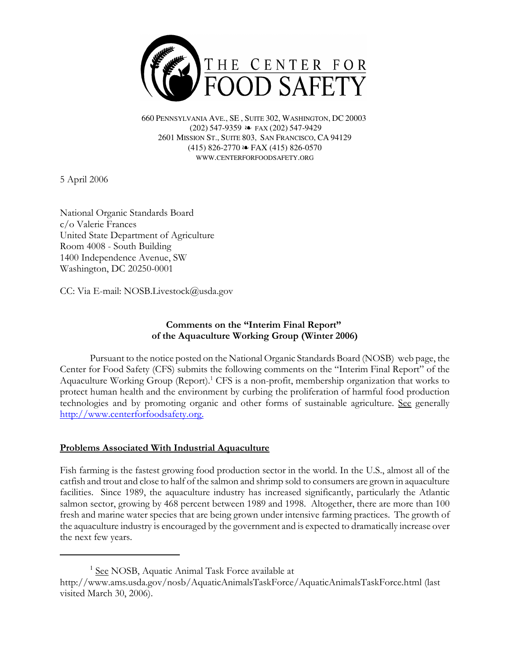

660 PENNSYLVANIA AVE., SE , SUITE 302, WASHINGTON, DC 20003 (202) 547-9359 ≥ FAX (202) 547-9429 2601 MISSION ST., SUITE 803, SAN FRANCISCO, CA 94129  $(415)$  826-2770  $\approx$  FAX (415) 826-0570 WWW.CENTERFORFOODSAFETY.ORG

5 April 2006

National Organic Standards Board c/o Valerie Frances United State Department of Agriculture Room 4008 - South Building 1400 Independence Avenue, SW Washington, DC 20250-0001

CC: Via E-mail: NOSB.Livestock@usda.gov

# Comments on the "Interim Final Report" of the Aquaculture Working Group (Winter 2006)

Pursuant to the notice posted on the National Organic Standards Board (NOSB) web page, the Center for Food Safety (CFS) submits the following comments on the "Interim Final Report" of the Aquaculture Working Group (Report).<sup>1</sup> CFS is a non-profit, membership organization that works to protect human health and the environment by curbing the proliferation of harmful food production technologies and by promoting organic and other forms of sustainable agriculture. See generally http://www.centerforfoodsafety.org.

## Problems Associated With Industrial Aquaculture

Fish farming is the fastest growing food production sector in the world. In the U.S., almost all of the catfish and trout and close to half of the salmon and shrimp sold to consumers are grown in aquaculture facilities. Since 1989, the aquaculture industry has increased significantly, particularly the Atlantic salmon sector, growing by 468 percent between 1989 and 1998. Altogether, there are more than 100 fresh and marine water species that are being grown under intensive farming practices. The growth of the aquaculture industry is encouraged by the government and is expected to dramatically increase over the next few years.

<sup>&</sup>lt;sup>1</sup> See NOSB, Aquatic Animal Task Force available at

http://www.ams.usda.gov/nosb/AquaticAnimalsTaskForce/AquaticAnimalsTaskForce.html (last visited March 30, 2006).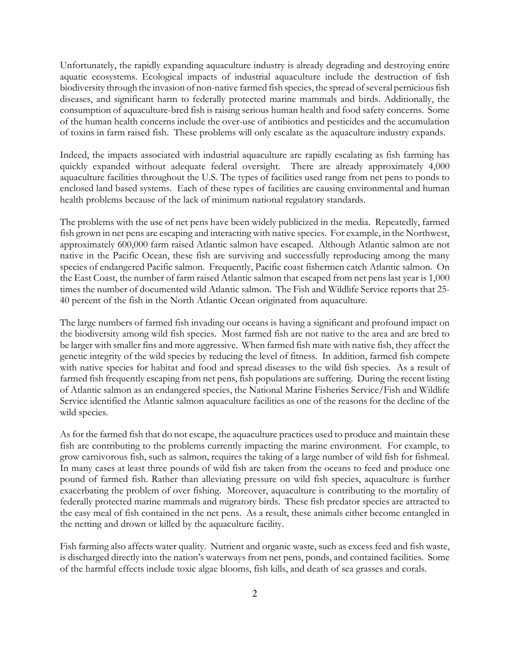Unfortunately, the rapidly expanding aquaculture industry is already degrading and destroying entire aquatic ecosystems. Ecological impacts of industrial aquaculture include the destruction of fish biodiversity through the invasion of non-native farmed fish species, the spread of several pernicious fish diseases, and significant harm to federally protected marine mammals and birds. Additionally, the consumption of aquaculture-bred fish is raising serious human health and food safety concerns. Some of the human health concerns include the over-use of antibiotics and pesticides and the accumulation of toxins in farm raised fish. These problems will only escalate as the aquaculture industry expands.

Indeed, the impacts associated with industrial aquaculture are rapidly escalating as fish farming has quickly expanded without adequate federal oversight. There are already approximately 4,000 aquaculture facilities throughout the U.S. The types of facilities used range from net pens to ponds to enclosed land based systems. Each of these types of facilities are causing environmental and human health problems because of the lack of minimum national regulatory standards.

The problems with the use of net pens have been widely publicized in the media. Repeatedly, farmed fish grown in net pens are escaping and interacting with native species. For example, in the Northwest, approximately 600,000 farm raised Atlantic salmon have escaped. Although Atlantic salmon are not native in the Pacific Ocean, these fish are surviving and successfully reproducing among the many species of endangered Pacific salmon. Frequently, Pacific coast fishermen catch Atlantic salmon. On the East Coast, the number of farm raised Atlantic salmon that escaped from net pens last year is 1,000 times the number of documented wild Atlantic salmon. The Fish and Wildlife Service reports that 25- 40 percent of the fish in the North Atlantic Ocean originated from aquaculture.

The large numbers of farmed fish invading our oceans is having a significant and profound impact on the biodiversity among wild fish species. Most farmed fish are not native to the area and are bred to be larger with smaller fins and more aggressive. When farmed fish mate with native fish, they affect the genetic integrity of the wild species by reducing the level of fitness. In addition, farmed fish compete with native species for habitat and food and spread diseases to the wild fish species. As a result of farmed fish frequently escaping from net pens, fish populations are suffering. During the recent listing of Atlantic salmon as an endangered species, the National Marine Fisheries Service/Fish and Wildlife Service identified the Atlantic salmon aquaculture facilities as one of the reasons for the decline of the wild species.

As for the farmed fish that do not escape, the aquaculture practices used to produce and maintain these fish are contributing to the problems currently impacting the marine environment. For example, to grow carnivorous fish, such as salmon, requires the taking of a large number of wild fish for fishmeal. In many cases at least three pounds of wild fish are taken from the oceans to feed and produce one pound of farmed fish. Rather than alleviating pressure on wild fish species, aquaculture is further exacerbating the problem of over fishing. Moreover, aquaculture is contributing to the mortality of federally protected marine mammals and migratory birds. These fish predator species are attracted to the easy meal of fish contained in the net pens. As a result, these animals either become entangled in the netting and drown or killed by the aquaculture facility.

Fish farming also affects water quality. Nutrient and organic waste, such as excess feed and fish waste, is discharged directly into the nation's waterways from net pens, ponds, and contained facilities. Some of the harmful effects include toxic algae blooms, fish kills, and death of sea grasses and corals.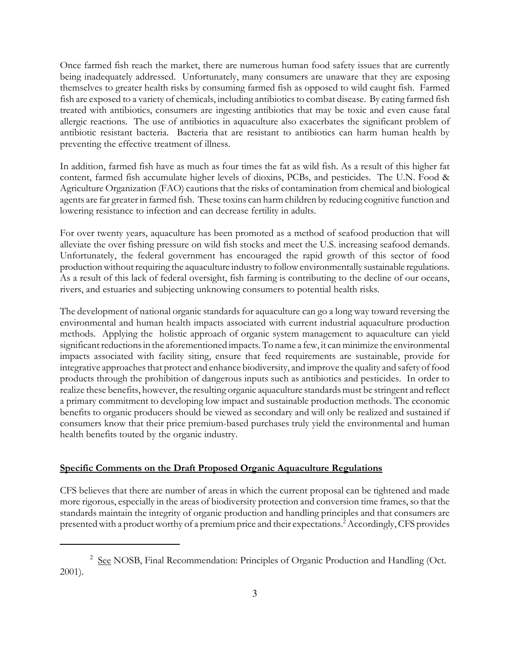Once farmed fish reach the market, there are numerous human food safety issues that are currently being inadequately addressed. Unfortunately, many consumers are unaware that they are exposing themselves to greater health risks by consuming farmed fish as opposed to wild caught fish. Farmed fish are exposed to a variety of chemicals, including antibiotics to combat disease. By eating farmed fish treated with antibiotics, consumers are ingesting antibiotics that may be toxic and even cause fatal allergic reactions. The use of antibiotics in aquaculture also exacerbates the significant problem of antibiotic resistant bacteria. Bacteria that are resistant to antibiotics can harm human health by preventing the effective treatment of illness.

In addition, farmed fish have as much as four times the fat as wild fish. As a result of this higher fat content, farmed fish accumulate higher levels of dioxins, PCBs, and pesticides. The U.N. Food & Agriculture Organization (FAO) cautions that the risks of contamination from chemical and biological agents are far greater in farmed fish. These toxins can harm children by reducing cognitive function and lowering resistance to infection and can decrease fertility in adults.

For over twenty years, aquaculture has been promoted as a method of seafood production that will alleviate the over fishing pressure on wild fish stocks and meet the U.S. increasing seafood demands. Unfortunately, the federal government has encouraged the rapid growth of this sector of food production without requiring the aquaculture industry to follow environmentally sustainable regulations. As a result of this lack of federal oversight, fish farming is contributing to the decline of our oceans, rivers, and estuaries and subjecting unknowing consumers to potential health risks.

The development of national organic standards for aquaculture can go a long way toward reversing the environmental and human health impacts associated with current industrial aquaculture production methods. Applying the holistic approach of organic system management to aquaculture can yield significant reductions in the aforementioned impacts. To name a few, it can minimize the environmental impacts associated with facility siting, ensure that feed requirements are sustainable, provide for integrative approaches that protect and enhance biodiversity, and improve the quality and safety of food products through the prohibition of dangerous inputs such as antibiotics and pesticides. In order to realize these benefits, however, the resulting organic aquaculture standards must be stringent and reflect a primary commitment to developing low impact and sustainable production methods. The economic benefits to organic producers should be viewed as secondary and will only be realized and sustained if consumers know that their price premium-based purchases truly yield the environmental and human health benefits touted by the organic industry.

## Specific Comments on the Draft Proposed Organic Aquaculture Regulations

CFS believes that there are number of areas in which the current proposal can be tightened and made more rigorous, especially in the areas of biodiversity protection and conversion time frames, so that the standards maintain the integrity of organic production and handling principles and that consumers are presented with a product worthy of a premium price and their expectations.<sup>2</sup> Accordingly, CFS provides

<sup>&</sup>lt;sup>2</sup> See NOSB, Final Recommendation: Principles of Organic Production and Handling (Oct. 2001).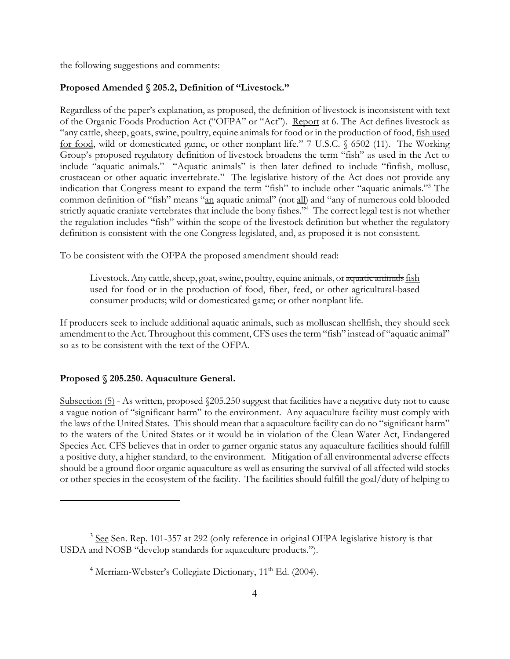the following suggestions and comments:

### Proposed Amended § 205.2, Definition of "Livestock."

Regardless of the paper's explanation, as proposed, the definition of livestock is inconsistent with text of the Organic Foods Production Act ("OFPA" or "Act"). Report at 6. The Act defines livestock as "any cattle, sheep, goats, swine, poultry, equine animals for food or in the production of food, fish used for food, wild or domesticated game, or other nonplant life." 7 U.S.C. § 6502 (11). The Working Group's proposed regulatory definition of livestock broadens the term "fish" as used in the Act to include "aquatic animals." "Aquatic animals" is then later defined to include "finfish, mollusc, crustacean or other aquatic invertebrate." The legislative history of the Act does not provide any indication that Congress meant to expand the term "fish" to include other "aquatic animals."<sup>3</sup> The common definition of "fish" means "an aquatic animal" (not all) and "any of numerous cold blooded strictly aquatic craniate vertebrates that include the bony fishes."<sup>4</sup> The correct legal test is not whether the regulation includes "fish" within the scope of the livestock definition but whether the regulatory definition is consistent with the one Congress legislated, and, as proposed it is not consistent.

To be consistent with the OFPA the proposed amendment should read:

Livestock. Any cattle, sheep, goat, swine, poultry, equine animals, or aquatic animals fish used for food or in the production of food, fiber, feed, or other agricultural-based consumer products; wild or domesticated game; or other nonplant life.

If producers seek to include additional aquatic animals, such as molluscan shellfish, they should seek amendment to the Act. Throughout this comment, CFS uses the term "fish" instead of "aquatic animal" so as to be consistent with the text of the OFPA.

#### Proposed § 205.250. Aquaculture General.

Subsection (5) - As written, proposed  $\sqrt{205.250}$  suggest that facilities have a negative duty not to cause a vague notion of "significant harm" to the environment. Any aquaculture facility must comply with the laws of the United States. This should mean that a aquaculture facility can do no "significant harm" to the waters of the United States or it would be in violation of the Clean Water Act, Endangered Species Act. CFS believes that in order to garner organic status any aquaculture facilities should fulfill a positive duty, a higher standard, to the environment. Mitigation of all environmental adverse effects should be a ground floor organic aquaculture as well as ensuring the survival of all affected wild stocks or other species in the ecosystem of the facility. The facilities should fulfill the goal/duty of helping to

<sup>&</sup>lt;sup>3</sup> See Sen. Rep. 101-357 at 292 (only reference in original OFPA legislative history is that USDA and NOSB "develop standards for aquaculture products.").

<sup>&</sup>lt;sup>4</sup> Merriam-Webster's Collegiate Dictionary, 11<sup>th</sup> Ed. (2004).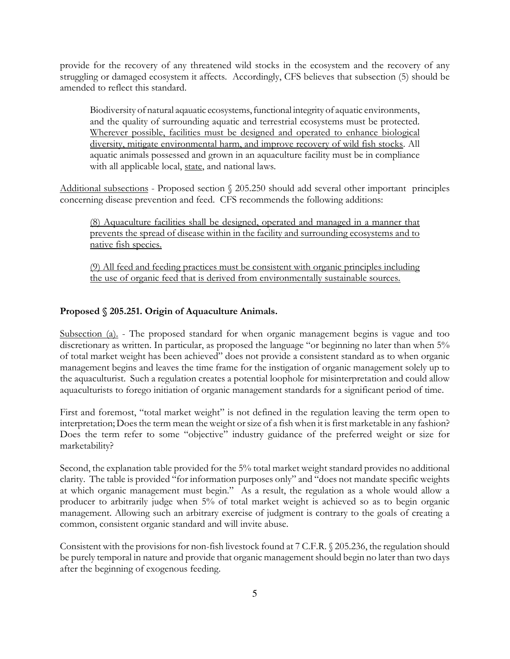provide for the recovery of any threatened wild stocks in the ecosystem and the recovery of any struggling or damaged ecosystem it affects. Accordingly, CFS believes that subsection (5) should be amended to reflect this standard.

Biodiversity of natural aqauatic ecosystems, functional integrity of aquatic environments, and the quality of surrounding aquatic and terrestrial ecosystems must be protected. Wherever possible, facilities must be designed and operated to enhance biological diversity, mitigate environmental harm, and improve recovery of wild fish stocks. All aquatic animals possessed and grown in an aquaculture facility must be in compliance with all applicable local, state, and national laws.

Additional subsections - Proposed section § 205.250 should add several other important principles concerning disease prevention and feed. CFS recommends the following additions:

(8) Aquaculture facilities shall be designed, operated and managed in a manner that prevents the spread of disease within in the facility and surrounding ecosystems and to native fish species.

(9) All feed and feeding practices must be consistent with organic principles including the use of organic feed that is derived from environmentally sustainable sources.

## Proposed § 205.251. Origin of Aquaculture Animals.

Subsection (a). - The proposed standard for when organic management begins is vague and too discretionary as written. In particular, as proposed the language "or beginning no later than when 5% of total market weight has been achieved" does not provide a consistent standard as to when organic management begins and leaves the time frame for the instigation of organic management solely up to the aquaculturist. Such a regulation creates a potential loophole for misinterpretation and could allow aquaculturists to forego initiation of organic management standards for a significant period of time.

First and foremost, "total market weight" is not defined in the regulation leaving the term open to interpretation; Does the term mean the weight or size of a fish when it is first marketable in any fashion? Does the term refer to some "objective" industry guidance of the preferred weight or size for marketability?

Second, the explanation table provided for the 5% total market weight standard provides no additional clarity. The table is provided "for information purposes only" and "does not mandate specific weights at which organic management must begin." As a result, the regulation as a whole would allow a producer to arbitrarily judge when 5% of total market weight is achieved so as to begin organic management. Allowing such an arbitrary exercise of judgment is contrary to the goals of creating a common, consistent organic standard and will invite abuse.

Consistent with the provisions for non-fish livestock found at 7 C.F.R. § 205.236, the regulation should be purely temporal in nature and provide that organic management should begin no later than two days after the beginning of exogenous feeding.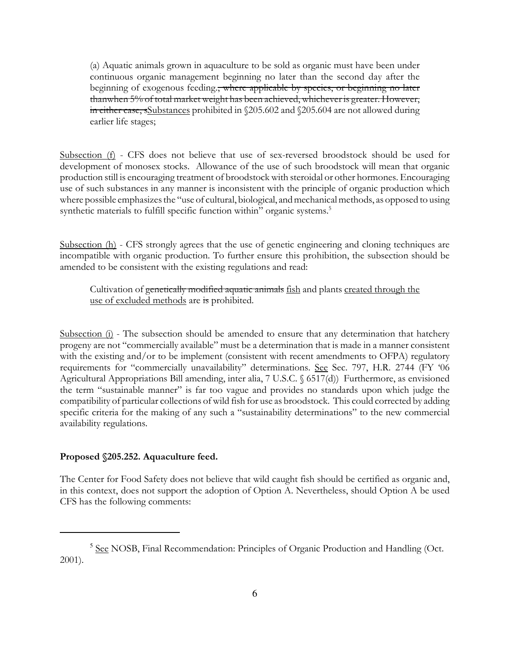(a) Aquatic animals grown in aquaculture to be sold as organic must have been under continuous organic management beginning no later than the second day after the beginning of exogenous feeding., where applicable by species, or beginning no later thanwhen 5% of total market weight has been achieved, whichever is greater. However, in either case, sSubstances prohibited in §205.602 and §205.604 are not allowed during earlier life stages;

Subsection (f) - CFS does not believe that use of sex-reversed broodstock should be used for development of monosex stocks. Allowance of the use of such broodstock will mean that organic production still is encouraging treatment of broodstock with steroidal or other hormones. Encouraging use of such substances in any manner is inconsistent with the principle of organic production which where possible emphasizes the "use of cultural, biological, and mechanical methods, as opposed to using synthetic materials to fulfill specific function within" organic systems.<sup>5</sup>

Subsection (h) - CFS strongly agrees that the use of genetic engineering and cloning techniques are incompatible with organic production. To further ensure this prohibition, the subsection should be amended to be consistent with the existing regulations and read:

Cultivation of genetically modified aquatic animals fish and plants created through the use of excluded methods are is prohibited.

Subsection (i) - The subsection should be amended to ensure that any determination that hatchery progeny are not "commercially available" must be a determination that is made in a manner consistent with the existing and/or to be implement (consistent with recent amendments to OFPA) regulatory requirements for "commercially unavailability" determinations. See Sec. 797, H.R. 2744 (FY '06 Agricultural Appropriations Bill amending, inter alia, 7 U.S.C. § 6517(d)) Furthermore, as envisioned the term "sustainable manner" is far too vague and provides no standards upon which judge the compatibility of particular collections of wild fish for use as broodstock. This could corrected by adding specific criteria for the making of any such a "sustainability determinations" to the new commercial availability regulations.

#### Proposed §205.252. Aquaculture feed.

The Center for Food Safety does not believe that wild caught fish should be certified as organic and, in this context, does not support the adoption of Option A. Nevertheless, should Option A be used CFS has the following comments:

<sup>&</sup>lt;sup>5</sup> See NOSB, Final Recommendation: Principles of Organic Production and Handling (Oct. 2001).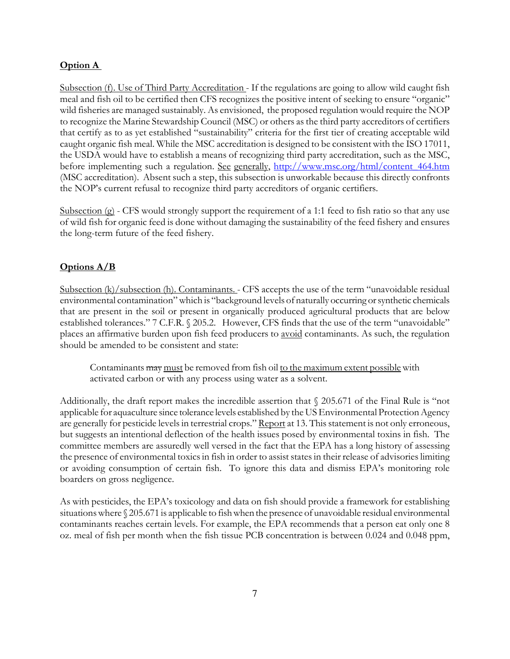## Option A

Subsection (f). Use of Third Party Accreditation - If the regulations are going to allow wild caught fish meal and fish oil to be certified then CFS recognizes the positive intent of seeking to ensure "organic" wild fisheries are managed sustainably. As envisioned, the proposed regulation would require the NOP to recognize the Marine Stewardship Council (MSC) or others as the third party accreditors of certifiers that certify as to as yet established "sustainability" criteria for the first tier of creating acceptable wild caught organic fish meal. While the MSC accreditation is designed to be consistent with the ISO 17011, the USDA would have to establish a means of recognizing third party accreditation, such as the MSC, before implementing such a regulation. See generally, http://www.msc.org/html/content\_464.htm (MSC accreditation). Absent such a step, this subsection is unworkable because this directly confronts the NOP's current refusal to recognize third party accreditors of organic certifiers.

Subsection (g) - CFS would strongly support the requirement of a 1:1 feed to fish ratio so that any use of wild fish for organic feed is done without damaging the sustainability of the feed fishery and ensures the long-term future of the feed fishery.

### Options A/B

Subsection (k)/subsection (h). Contaminants. - CFS accepts the use of the term "unavoidable residual environmental contamination" which is "background levels of naturally occurring or synthetic chemicals that are present in the soil or present in organically produced agricultural products that are below established tolerances." 7 C.F.R. § 205.2. However, CFS finds that the use of the term "unavoidable" places an affirmative burden upon fish feed producers to avoid contaminants. As such, the regulation should be amended to be consistent and state:

Contaminants may must be removed from fish oil to the maximum extent possible with activated carbon or with any process using water as a solvent.

Additionally, the draft report makes the incredible assertion that § 205.671 of the Final Rule is "not applicable for aquaculture since tolerance levels established by the US Environmental Protection Agency are generally for pesticide levels in terrestrial crops." Report at 13. This statement is not only erroneous, but suggests an intentional deflection of the health issues posed by environmental toxins in fish. The committee members are assuredly well versed in the fact that the EPA has a long history of assessing the presence of environmental toxics in fish in order to assist states in their release of advisories limiting or avoiding consumption of certain fish. To ignore this data and dismiss EPA's monitoring role boarders on gross negligence.

As with pesticides, the EPA's toxicology and data on fish should provide a framework for establishing situations where § 205.671 is applicable to fish when the presence of unavoidable residual environmental contaminants reaches certain levels. For example, the EPA recommends that a person eat only one 8 oz. meal of fish per month when the fish tissue PCB concentration is between 0.024 and 0.048 ppm,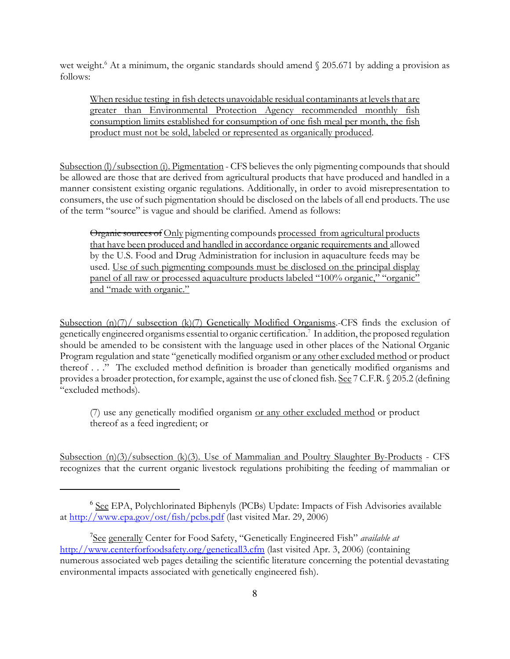wet weight.<sup>6</sup> At a minimum, the organic standards should amend § 205.671 by adding a provision as follows:

When residue testing in fish detects unavoidable residual contaminants at levels that are greater than Environmental Protection Agency recommended monthly fish consumption limits established for consumption of one fish meal per month, the fish product must not be sold, labeled or represented as organically produced.

Subsection (l)/subsection (i). Pigmentation - CFS believes the only pigmenting compounds that should be allowed are those that are derived from agricultural products that have produced and handled in a manner consistent existing organic regulations. Additionally, in order to avoid misrepresentation to consumers, the use of such pigmentation should be disclosed on the labels of all end products. The use of the term "source" is vague and should be clarified. Amend as follows:

Organic sources of Only pigmenting compounds processed from agricultural products that have been produced and handled in accordance organic requirements and allowed by the U.S. Food and Drug Administration for inclusion in aquaculture feeds may be used. Use of such pigmenting compounds must be disclosed on the principal display panel of all raw or processed aquaculture products labeled "100% organic," "organic" and "made with organic."

Subsection (n)(7)/ subsection (k)(7) Genetically Modified Organisms.-CFS finds the exclusion of genetically engineered organisms essential to organic certification.<sup>7</sup> In addition, the proposed regulation should be amended to be consistent with the language used in other places of the National Organic Program regulation and state "genetically modified organism or any other excluded method or product thereof . . ." The excluded method definition is broader than genetically modified organisms and provides a broader protection, for example, against the use of cloned fish. See 7 C.F.R. § 205.2 (defining "excluded methods).

(7) use any genetically modified organism or any other excluded method or product thereof as a feed ingredient; or

Subsection  $(n)(3)/$ subsection  $(k)(3)$ . Use of Mammalian and Poultry Slaughter By-Products - CFS recognizes that the current organic livestock regulations prohibiting the feeding of mammalian or

<sup>&</sup>lt;sup>6</sup> See EPA, Polychlorinated Biphenyls (PCBs) Update: Impacts of Fish Advisories available at http://www.epa.gov/ost/fish/pcbs.pdf (last visited Mar. 29, 2006)

<sup>&</sup>lt;sup>7</sup>See generally Center for Food Safety, "Genetically Engineered Fish" available at http://www.centerforfoodsafety.org/geneticall3.cfm (last visited Apr. 3, 2006) (containing numerous associated web pages detailing the scientific literature concerning the potential devastating environmental impacts associated with genetically engineered fish).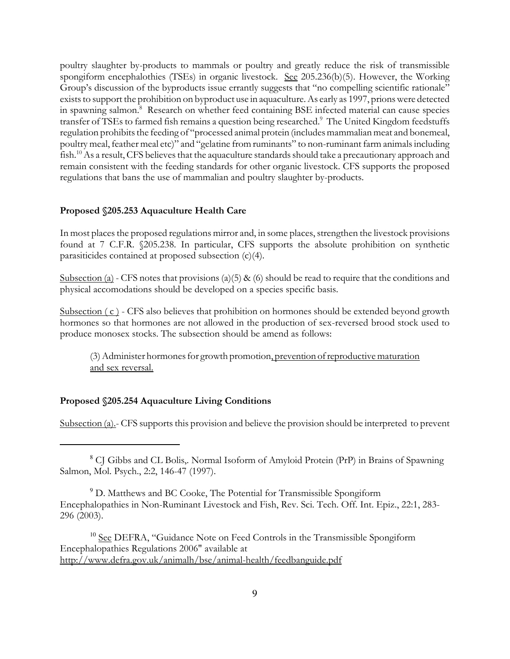poultry slaughter by-products to mammals or poultry and greatly reduce the risk of transmissible spongiform encephalothies (TSEs) in organic livestock. See 205.236(b)(5). However, the Working Group's discussion of the byproducts issue errantly suggests that "no compelling scientific rationale" exists to support the prohibition on byproduct use in aquaculture. As early as 1997, prions were detected in spawning salmon.<sup>8</sup> Research on whether feed containing BSE infected material can cause species transfer of TSEs to farmed fish remains a question being researched.<sup>9</sup> The United Kingdom feedstuffs regulation prohibits the feeding of "processed animal protein (includes mammalian meat and bonemeal, poultry meal, feather meal etc)" and "gelatine from ruminants" to non-ruminant farm animals including fish.<sup>10</sup> As a result, CFS believes that the aquaculture standards should take a precautionary approach and remain consistent with the feeding standards for other organic livestock. CFS supports the proposed regulations that bans the use of mammalian and poultry slaughter by-products.

### Proposed §205.253 Aquaculture Health Care

In most places the proposed regulations mirror and, in some places, strengthen the livestock provisions found at 7 C.F.R. §205.238. In particular, CFS supports the absolute prohibition on synthetic parasiticides contained at proposed subsection (c)(4).

Subsection (a) - CFS notes that provisions (a)(5) & (6) should be read to require that the conditions and physical accomodations should be developed on a species specific basis.

Subsection (c) - CFS also believes that prohibition on hormones should be extended beyond growth hormones so that hormones are not allowed in the production of sex-reversed brood stock used to produce monosex stocks. The subsection should be amend as follows:

(3) Administer hormones for growth promotion, prevention of reproductive maturation and sex reversal.

### Proposed §205.254 Aquaculture Living Conditions

Subsection (a).- CFS supports this provision and believe the provision should be interpreted to prevent

<sup>10</sup> See DEFRA, "Guidance Note on Feed Controls in the Transmissible Spongiform Encephalopathies Regulations 2006" available at http://www.defra.gov.uk/animalh/bse/animal-health/feedbanguide.pdf

<sup>&</sup>lt;sup>8</sup> CJ Gibbs and CL Bolis,. Normal Isoform of Amyloid Protein (PrP) in Brains of Spawning Salmon, Mol. Psych., 2:2, 146-47 (1997).

<sup>&</sup>lt;sup>9</sup> D. Matthews and BC Cooke, The Potential for Transmissible Spongiform Encephalopathies in Non-Ruminant Livestock and Fish, Rev. Sci. Tech. Off. Int. Epiz., 22:1, 283- 296 (2003).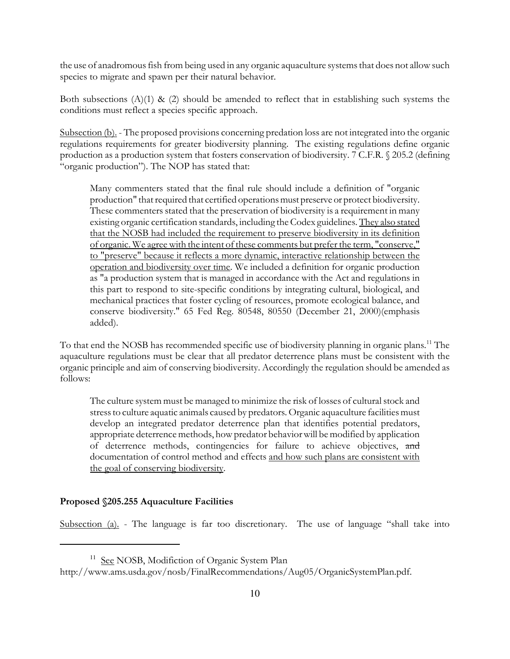the use of anadromous fish from being used in any organic aquaculture systems that does not allow such species to migrate and spawn per their natural behavior.

Both subsections  $(A)(1)$  &  $(2)$  should be amended to reflect that in establishing such systems the conditions must reflect a species specific approach.

Subsection (b). - The proposed provisions concerning predation loss are not integrated into the organic regulations requirements for greater biodiversity planning. The existing regulations define organic production as a production system that fosters conservation of biodiversity. 7 C.F.R. § 205.2 (defining "organic production"). The NOP has stated that:

Many commenters stated that the final rule should include a definition of "organic production" that required that certified operations must preserve or protect biodiversity. These commenters stated that the preservation of biodiversity is a requirement in many existing organic certification standards, including the Codex guidelines. They also stated that the NOSB had included the requirement to preserve biodiversity in its definition of organic. We agree with the intent of these comments but prefer the term, "conserve," to "preserve" because it reflects a more dynamic, interactive relationship between the operation and biodiversity over time. We included a definition for organic production as "a production system that is managed in accordance with the Act and regulations in this part to respond to site-specific conditions by integrating cultural, biological, and mechanical practices that foster cycling of resources, promote ecological balance, and conserve biodiversity." 65 Fed Reg. 80548, 80550 (December 21, 2000)(emphasis added).

To that end the NOSB has recommended specific use of biodiversity planning in organic plans.<sup>11</sup> The aquaculture regulations must be clear that all predator deterrence plans must be consistent with the organic principle and aim of conserving biodiversity. Accordingly the regulation should be amended as follows:

The culture system must be managed to minimize the risk of losses of cultural stock and stress to culture aquatic animals caused by predators. Organic aquaculture facilities must develop an integrated predator deterrence plan that identifies potential predators, appropriate deterrence methods, how predator behavior will be modified by application of deterrence methods, contingencies for failure to achieve objectives, and documentation of control method and effects and how such plans are consistent with the goal of conserving biodiversity.

#### Proposed §205.255 Aquaculture Facilities

Subsection (a). - The language is far too discretionary. The use of language "shall take into

<sup>&</sup>lt;sup>11</sup> See NOSB, Modifiction of Organic System Plan

http://www.ams.usda.gov/nosb/FinalRecommendations/Aug05/OrganicSystemPlan.pdf.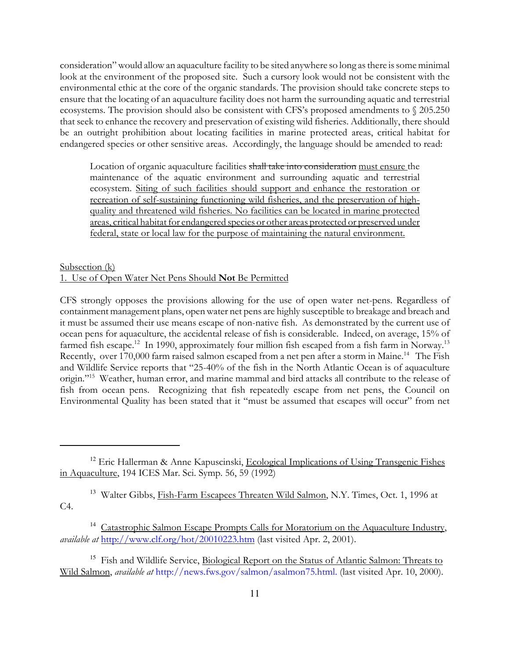consideration" would allow an aquaculture facility to be sited anywhere so long as there is some minimal look at the environment of the proposed site. Such a cursory look would not be consistent with the environmental ethic at the core of the organic standards. The provision should take concrete steps to ensure that the locating of an aquaculture facility does not harm the surrounding aquatic and terrestrial ecosystems. The provision should also be consistent with CFS's proposed amendments to § 205.250 that seek to enhance the recovery and preservation of existing wild fisheries. Additionally, there should be an outright prohibition about locating facilities in marine protected areas, critical habitat for endangered species or other sensitive areas. Accordingly, the language should be amended to read:

Location of organic aquaculture facilities shall take into consideration must ensure the maintenance of the aquatic environment and surrounding aquatic and terrestrial ecosystem. Siting of such facilities should support and enhance the restoration or recreation of self-sustaining functioning wild fisheries, and the preservation of highquality and threatened wild fisheries. No facilities can be located in marine protected areas, critical habitat for endangered species or other areas protected or preserved under federal, state or local law for the purpose of maintaining the natural environment.

#### Subsection (k) 1. Use of Open Water Net Pens Should Not Be Permitted

CFS strongly opposes the provisions allowing for the use of open water net-pens. Regardless of containment management plans, open water net pens are highly susceptible to breakage and breach and it must be assumed their use means escape of non-native fish. As demonstrated by the current use of ocean pens for aquaculture, the accidental release of fish is considerable. Indeed, on average, 15% of farmed fish escape.<sup>12</sup> In 1990, approximately four million fish escaped from a fish farm in Norway.<sup>13</sup> Recently, over 170,000 farm raised salmon escaped from a net pen after a storm in Maine.<sup>14</sup> The Fish and Wildlife Service reports that "25-40% of the fish in the North Atlantic Ocean is of aquaculture origin."<sup>15</sup> Weather, human error, and marine mammal and bird attacks all contribute to the release of fish from ocean pens. Recognizing that fish repeatedly escape from net pens, the Council on Environmental Quality has been stated that it "must be assumed that escapes will occur" from net

<sup>13</sup> Walter Gibbs, Fish-Farm Escapees Threaten Wild Salmon, N.Y. Times, Oct. 1, 1996 at C4.

<sup>&</sup>lt;sup>12</sup> Eric Hallerman & Anne Kapuscinski, Ecological Implications of Using Transgenic Fishes in Aquaculture, 194 ICES Mar. Sci. Symp. 56, 59 (1992)

<sup>&</sup>lt;sup>14</sup> Catastrophic Salmon Escape Prompts Calls for Moratorium on the Aquaculture Industry, available at http://www.clf.org/hot/20010223.htm (last visited Apr. 2, 2001).

<sup>&</sup>lt;sup>15</sup> Fish and Wildlife Service, Biological Report on the Status of Atlantic Salmon: Threats to Wild Salmon, available at http://news.fws.gov/salmon/asalmon75.html. (last visited Apr. 10, 2000).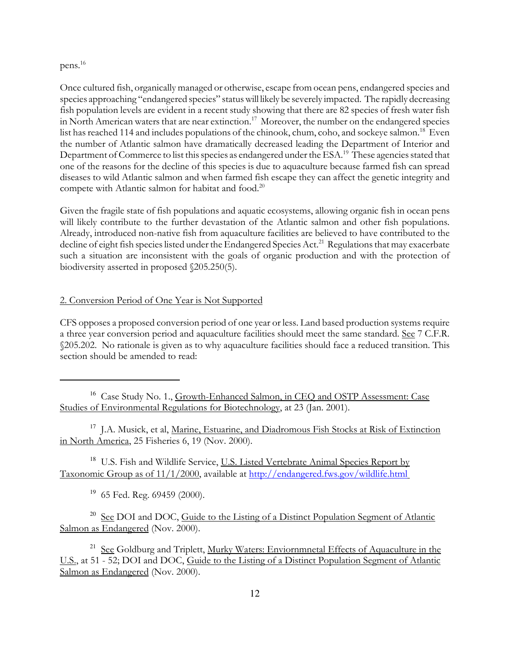## pens.<sup>16</sup>

Once cultured fish, organically managed or otherwise, escape from ocean pens, endangered species and species approaching "endangered species" status will likely be severely impacted. The rapidly decreasing fish population levels are evident in a recent study showing that there are 82 species of fresh water fish in North American waters that are near extinction.<sup>17</sup> Moreover, the number on the endangered species list has reached 114 and includes populations of the chinook, chum, coho, and sockeye salmon.<sup>18</sup> Even the number of Atlantic salmon have dramatically decreased leading the Department of Interior and Department of Commerce to list this species as endangered under the ESA.<sup>19</sup> These agencies stated that one of the reasons for the decline of this species is due to aquaculture because farmed fish can spread diseases to wild Atlantic salmon and when farmed fish escape they can affect the genetic integrity and compete with Atlantic salmon for habitat and food.<sup>20</sup>

Given the fragile state of fish populations and aquatic ecosystems, allowing organic fish in ocean pens will likely contribute to the further devastation of the Atlantic salmon and other fish populations. Already, introduced non-native fish from aquaculture facilities are believed to have contributed to the decline of eight fish species listed under the Endangered Species Act.<sup>21</sup> Regulations that may exacerbate such a situation are inconsistent with the goals of organic production and with the protection of biodiversity asserted in proposed §205.250(5).

### 2. Conversion Period of One Year is Not Supported

CFS opposes a proposed conversion period of one year or less. Land based production systems require a three year conversion period and aquaculture facilities should meet the same standard. See 7 C.F.R. §205.202. No rationale is given as to why aquaculture facilities should face a reduced transition. This section should be amended to read:

<sup>16</sup> Case Study No. 1., Growth-Enhanced Salmon, in CEQ and OSTP Assessment: Case Studies of Environmental Regulations for Biotechnology, at 23 (Jan. 2001).

<sup>17</sup> J.A. Musick, et al, Marine, Estuarine, and Diadromous Fish Stocks at Risk of Extinction in North America, 25 Fisheries 6, 19 (Nov. 2000).

<sup>18</sup> U.S. Fish and Wildlife Service, U.S. Listed Vertebrate Animal Species Report by Taxonomic Group as of 11/1/2000, available at http://endangered.fws.gov/wildlife.html

<sup>19</sup> 65 Fed. Reg. 69459 (2000).

<sup>20</sup> See DOI and DOC, Guide to the Listing of a Distinct Population Segment of Atlantic Salmon as Endangered (Nov. 2000).

<sup>21</sup> See Goldburg and Triplett, Murky Waters: Enviornmnetal Effects of Aquaculture in the U.S., at 51 - 52; DOI and DOC, Guide to the Listing of a Distinct Population Segment of Atlantic Salmon as Endangered (Nov. 2000).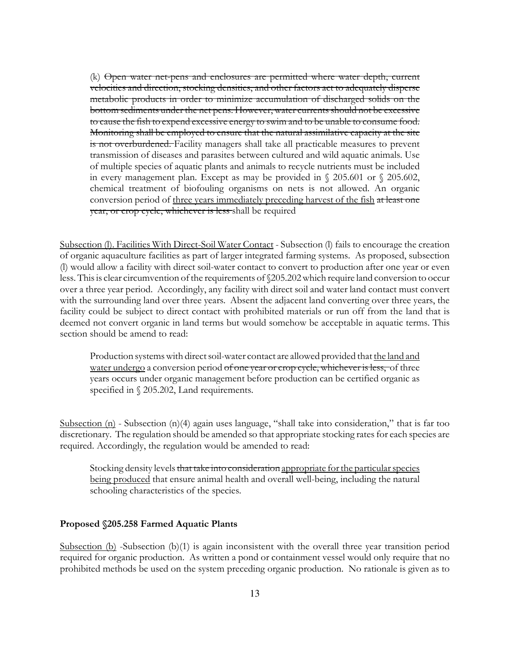(k) Open water net-pens and enclosures are permitted where water depth, current velocities and direction, stocking densities, and other factors act to adequately disperse metabolic products in order to minimize accumulation of discharged solids on the bottom sediments under the net pens. However, water currents should not be excessive to cause the fish to expend excessive energy to swim and to be unable to consume food. Monitoring shall be employed to ensure that the natural assimilative capacity at the site is not overburdened. Facility managers shall take all practicable measures to prevent transmission of diseases and parasites between cultured and wild aquatic animals. Use of multiple species of aquatic plants and animals to recycle nutrients must be included in every management plan. Except as may be provided in § 205.601 or § 205.602, chemical treatment of biofouling organisms on nets is not allowed. An organic conversion period of three years immediately preceding harvest of the fish at least one year, or crop cycle, whichever is less shall be required

Subsection (l). Facilities With Direct-Soil Water Contact - Subsection (l) fails to encourage the creation of organic aquaculture facilities as part of larger integrated farming systems. As proposed, subsection (l) would allow a facility with direct soil-water contact to convert to production after one year or even less. This is clear circumvention of the requirements of §205.202 which require land conversion to occur over a three year period. Accordingly, any facility with direct soil and water land contact must convert with the surrounding land over three years. Absent the adjacent land converting over three years, the facility could be subject to direct contact with prohibited materials or run off from the land that is deemed not convert organic in land terms but would somehow be acceptable in aquatic terms. This section should be amend to read:

Production systems with direct soil-water contact are allowed provided that the land and water undergo a conversion period of one year or crop cycle, whichever is less, of three years occurs under organic management before production can be certified organic as specified in § 205.202, Land requirements.

Subsection  $(n)$  - Subsection  $(n)(4)$  again uses language, "shall take into consideration," that is far too discretionary. The regulation should be amended so that appropriate stocking rates for each species are required. Accordingly, the regulation would be amended to read:

Stocking density levels that take into consideration appropriate for the particular species being produced that ensure animal health and overall well-being, including the natural schooling characteristics of the species.

#### Proposed §205.258 Farmed Aquatic Plants

Subsection (b) -Subsection (b)(1) is again inconsistent with the overall three year transition period required for organic production. As written a pond or containment vessel would only require that no prohibited methods be used on the system preceding organic production. No rationale is given as to